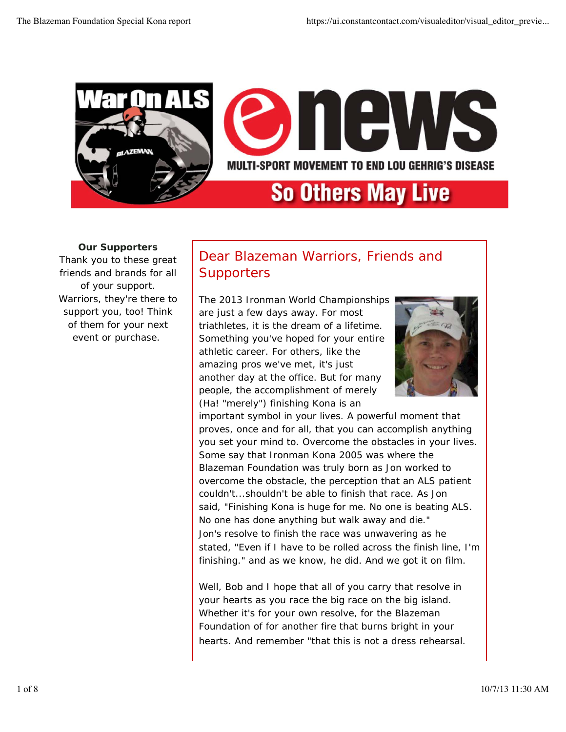

# MULTI-SPORT MOVEMENT TO END LOU GEHRIG'S DISEASE

# **So Others May Live**

**Our Supporters** Thank you to these great friends and brands for all of your support. Warriors, they're there to support you, too! Think of them for your next event or purchase.

## Dear Blazeman Warriors, Friends and **Supporters**

The 2013 Ironman World Championships are just a few days away. For most triathletes, it is the dream of a lifetime. Something you've hoped for your entire athletic career. For others, like the amazing pros we've met, it's just another day at the office. But for many people, the accomplishment of merely (Ha! "merely") finishing Kona is an



important symbol in your lives. A powerful moment that proves, once and for all, that you can accomplish anything you set your mind to. Overcome the obstacles in your lives. Some say that Ironman Kona 2005 was where the Blazeman Foundation was truly born as Jon worked to overcome the obstacle, the perception that an ALS patient couldn't...shouldn't be able to finish that race. As Jon said, "Finishing Kona is huge for me. No one is beating ALS. No one has done anything but walk away and die." Jon's resolve to finish the race was unwavering as he stated, "Even if I have to be rolled across the finish line, I'm finishing." and as we know, he did. And we got it on film.

Well, Bob and I hope that all of you carry that resolve in your hearts as you race the big race on the big island. Whether it's for your own resolve, for the Blazeman Foundation of for another fire that burns bright in your hearts. And remember "*that this is not a dress rehearsal.*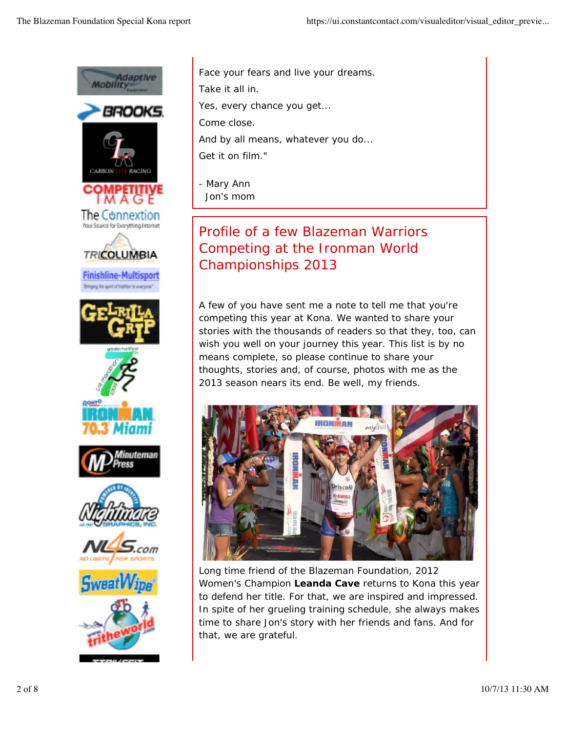

*Face your fears and live your dreams. Take it all in. Yes, every chance you get... Come close. And by all means, whatever you do... Get it on film."*

- Mary Ann Jon's mom

# Profile of a few Blazeman Warriors Competing at the Ironman World Championships 2013

A few of you have sent me a note to tell me that you're competing this year at Kona. We wanted to share your stories with the thousands of readers so that they, too, can wish you well on your journey this year. This list is by no means complete, so please continue to share your thoughts, stories and, of course, photos with me as the 2013 season nears its end. Be well, my friends.



Long time friend of the Blazeman Foundation, 2012 Women's Champion **Leanda Cave** returns to Kona this year to defend her title. For that, we are inspired and impressed. In spite of her grueling training schedule, she always makes time to share Jon's story with her friends and fans. And for that, we are grateful.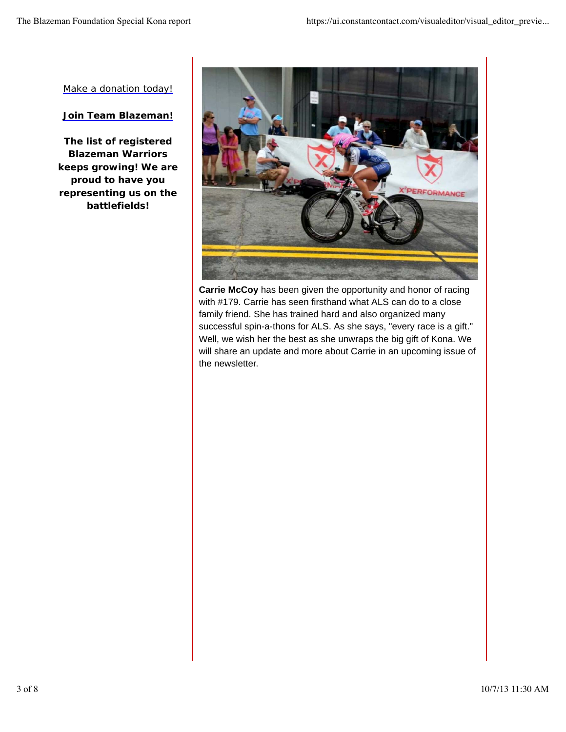Make a donation today!

### **Join Team Blazeman!**

**The list of registered Blazeman Warriors keeps growing! We are proud to have you representing us on the battlefields!**



**Carrie McCoy** has been given the opportunity and honor of racing with #179. Carrie has seen firsthand what ALS can do to a close family friend. She has trained hard and also organized many successful spin-a-thons for ALS. As she says, "every race is a gift." Well, we wish her the best as she unwraps the big gift of Kona. We will share an update and more about Carrie in an upcoming issue of the newsletter.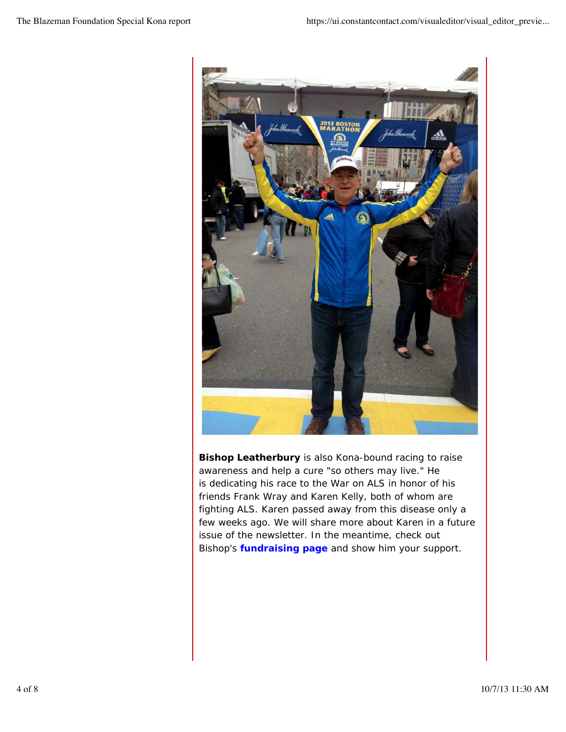

**Bishop Leatherbury** is also Kona-bound racing to raise awareness and help a cure "so others may live." He is dedicating his race to the War on ALS in honor of his friends Frank Wray and Karen Kelly, both of whom are fighting ALS. Karen passed away from this disease only a few weeks ago. We will share more about Karen in a future issue of the newsletter. In the meantime, check out Bishop's **fundraising page** and show him your support.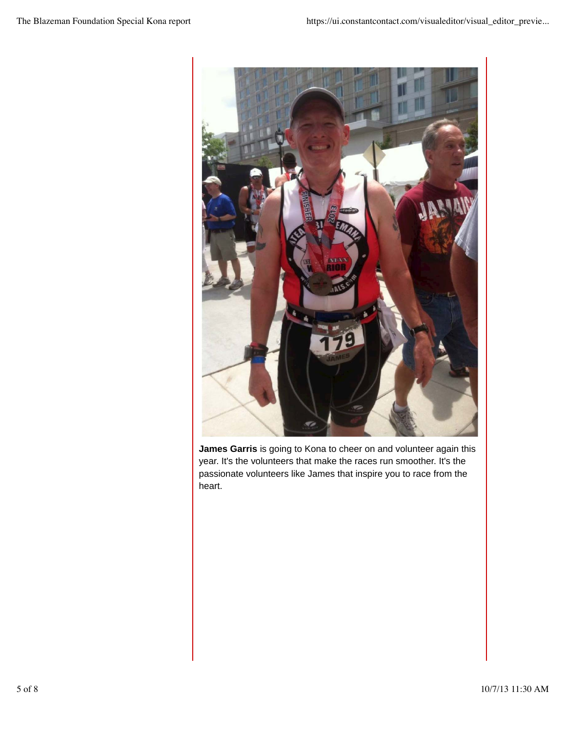

**James Garris** is going to Kona to cheer on and volunteer again this year. It's the volunteers that make the races run smoother. It's the passionate volunteers like James that inspire you to race from the heart.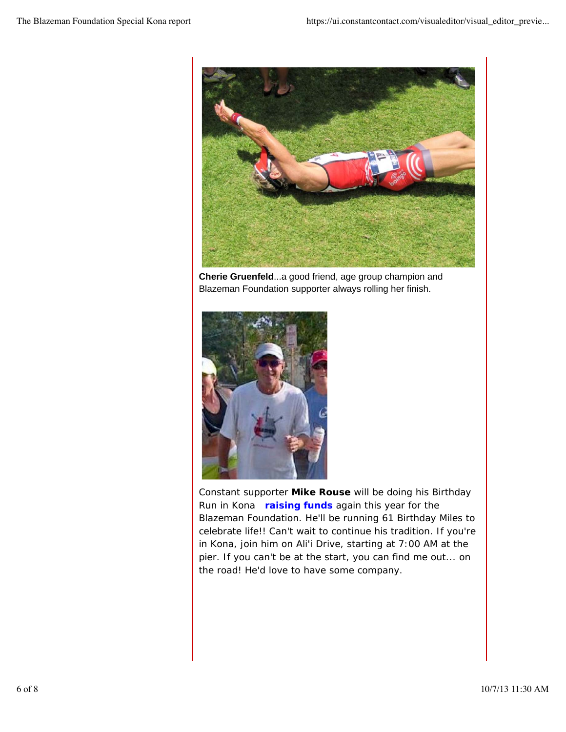

**Cherie Gruenfeld**...a good friend, age group champion and Blazeman Foundation supporter always rolling her finish.



Constant supporter **Mike Rouse** will be doing his Birthday Run in Kona **raising funds** again this year for the Blazeman Foundation. He'll be running 61 Birthday Miles to celebrate life!! Can't wait to continue his tradition. If you're in Kona, join him on Ali'i Drive, starting at 7:00 AM at the pier. If you can't be at the start, you can find me out... on the road! He'd love to have some company.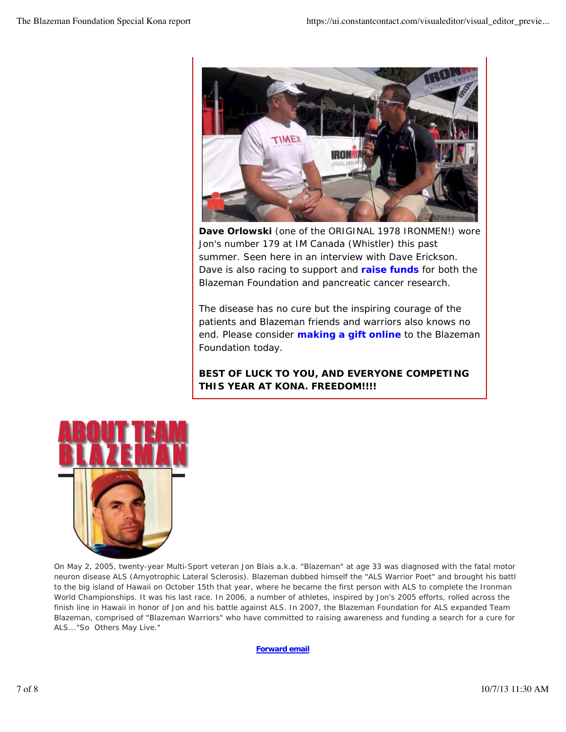

**Dave Orlowski** (one of the ORIGINAL 1978 IRONMEN!) wore Jon's number 179 at IM Canada (Whistler) this past summer. Seen here in an interview with Dave Erickson. Dave is also racing to support and **raise funds** for both the Blazeman Foundation and pancreatic cancer research.

The disease has no cure but the inspiring courage of the patients and Blazeman friends and warriors also knows no end. Please consider **making a gift online** to the Blazeman Foundation today.

### **BEST OF LUCK TO YOU, AND EVERYONE COMPETING THIS YEAR AT KONA. FREEDOM!!!!**



On May 2, 2005, twenty-year Multi-Sport veteran Jon Blais a.k.a. "Blazeman" at age 33 was diagnosed with the fatal motor neuron disease ALS (Amyotrophic Lateral Sclerosis). Blazeman dubbed himself the "ALS Warrior Poet" and brought his battl to the big island of Hawaii on October 15th that year, where he became the first person with ALS to complete the Ironman World Championships. It was his last race. In 2006, a number of athletes, inspired by Jon's 2005 efforts, rolled across the finish line in Hawaii in honor of Jon and his battle against ALS. In 2007, the Blazeman Foundation for ALS expanded Team Blazeman, comprised of "Blazeman Warriors" who have committed to raising awareness and funding a search for a cure for ALS..."So Others May Live."

**Forward email**